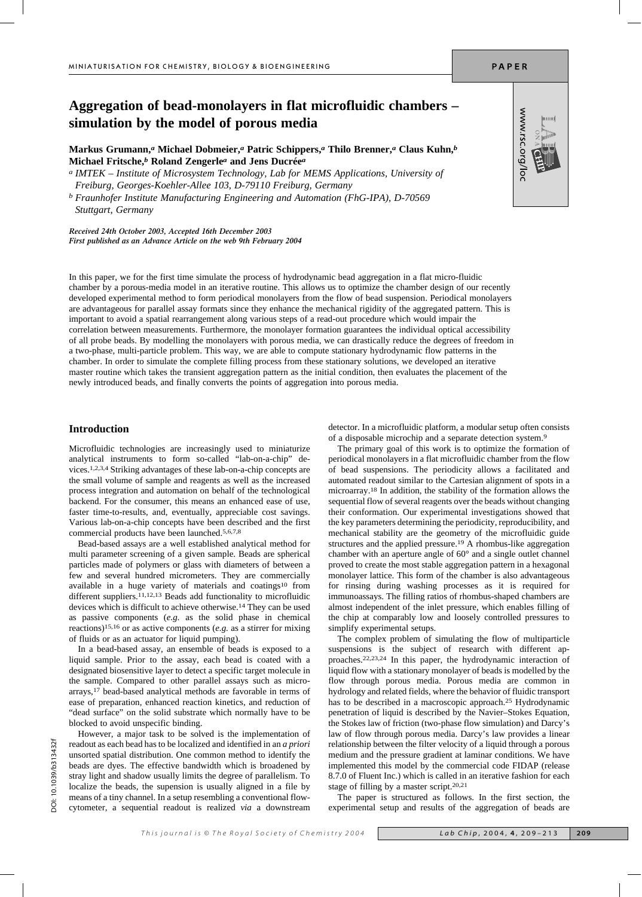# **Aggregation of bead-monolayers in flat microfluidic chambers – simulation by the model of porous media**

**Markus Grumann,***a* **Michael Dobmeier,***a* **Patric Schippers,***a* **Thilo Brenner,***a* **Claus Kuhn,***b* **Michael Fritsche,***b* **Roland Zengerle***a* **and Jens Ducrée***a*

*a IMTEK – Institute of Microsystem Technology, Lab for MEMS Applications, University of Freiburg, Georges-Koehler-Allee 103, D-79110 Freiburg, Germany*

*b Fraunhofer Institute Manufacturing Engineering and Automation (FhG-IPA), D-70569 Stuttgart, Germany*

*Received 24th October 2003, Accepted 16th December 2003 First published as an Advance Article on the web 9th February 2004*

In this paper, we for the first time simulate the process of hydrodynamic bead aggregation in a flat micro-fluidic chamber by a porous-media model in an iterative routine. This allows us to optimize the chamber design of our recently developed experimental method to form periodical monolayers from the flow of bead suspension. Periodical monolayers are advantageous for parallel assay formats since they enhance the mechanical rigidity of the aggregated pattern. This is important to avoid a spatial rearrangement along various steps of a read-out procedure which would impair the correlation between measurements. Furthermore, the monolayer formation guarantees the individual optical accessibility of all probe beads. By modelling the monolayers with porous media, we can drastically reduce the degrees of freedom in a two-phase, multi-particle problem. This way, we are able to compute stationary hydrodynamic flow patterns in the chamber. In order to simulate the complete filling process from these stationary solutions, we developed an iterative master routine which takes the transient aggregation pattern as the initial condition, then evaluates the placement of the newly introduced beads, and finally converts the points of aggregation into porous media.

## **Introduction**

Microfluidic technologies are increasingly used to miniaturize analytical instruments to form so-called "lab-on-a-chip" devices.1,2,3,4 Striking advantages of these lab-on-a-chip concepts are the small volume of sample and reagents as well as the increased process integration and automation on behalf of the technological backend. For the consumer, this means an enhanced ease of use, faster time-to-results, and, eventually, appreciable cost savings. Various lab-on-a-chip concepts have been described and the first commercial products have been launched.5,6,7,8

Bead-based assays are a well established analytical method for multi parameter screening of a given sample. Beads are spherical particles made of polymers or glass with diameters of between a few and several hundred micrometers. They are commercially available in a huge variety of materials and coatings<sup>10</sup> from different suppliers.<sup>11,12,13</sup> Beads add functionality to microfluidic devices which is difficult to achieve otherwise.14 They can be used as passive components (*e.g.* as the solid phase in chemical reactions)15,16 or as active components (*e.g.* as a stirrer for mixing of fluids or as an actuator for liquid pumping).

In a bead-based assay, an ensemble of beads is exposed to a liquid sample. Prior to the assay, each bead is coated with a designated biosensitive layer to detect a specific target molecule in the sample. Compared to other parallel assays such as microarrays,17 bead-based analytical methods are favorable in terms of ease of preparation, enhanced reaction kinetics, and reduction of "dead surface" on the solid substrate which normally have to be blocked to avoid unspecific binding.

However, a major task to be solved is the implementation of readout as each bead has to be localized and identified in an *a priori* unsorted spatial distribution. One common method to identify the beads are dyes. The effective bandwidth which is broadened by stray light and shadow usually limits the degree of parallelism. To localize the beads, the supension is usually aligned in a file by means of a tiny channel. In a setup resembling a conventional flowcytometer, a sequential readout is realized *via* a downstream

detector. In a microfluidic platform, a modular setup often consists of a disposable microchip and a separate detection system.9

The primary goal of this work is to optimize the formation of periodical monolayers in a flat microfluidic chamber from the flow of bead suspensions. The periodicity allows a facilitated and automated readout similar to the Cartesian alignment of spots in a microarray.18 In addition, the stability of the formation allows the sequential flow of several reagents over the beads without changing their conformation. Our experimental investigations showed that the key parameters determining the periodicity, reproducibility, and mechanical stability are the geometry of the microfluidic guide structures and the applied pressure.19 A rhombus-like aggregation chamber with an aperture angle of 60° and a single outlet channel proved to create the most stable aggregation pattern in a hexagonal monolayer lattice. This form of the chamber is also advantageous for rinsing during washing processes as it is required for immunoassays. The filling ratios of rhombus-shaped chambers are almost independent of the inlet pressure, which enables filling of the chip at comparably low and loosely controlled pressures to simplify experimental setups.

The complex problem of simulating the flow of multiparticle suspensions is the subject of research with different approaches.22,23,24 In this paper, the hydrodynamic interaction of liquid flow with a stationary monolayer of beads is modelled by the flow through porous media. Porous media are common in hydrology and related fields, where the behavior of fluidic transport has to be described in a macroscopic approach.25 Hydrodynamic penetration of liquid is described by the Navier–Stokes Equation, the Stokes law of friction (two-phase flow simulation) and Darcy's law of flow through porous media. Darcy's law provides a linear relationship between the filter velocity of a liquid through a porous medium and the pressure gradient at laminar conditions. We have implemented this model by the commercial code FIDAP (release 8.7.0 of Fluent Inc.) which is called in an iterative fashion for each stage of filling by a master script.20,21

The paper is structured as follows. In the first section, the experimental setup and results of the aggregation of beads are

PAPER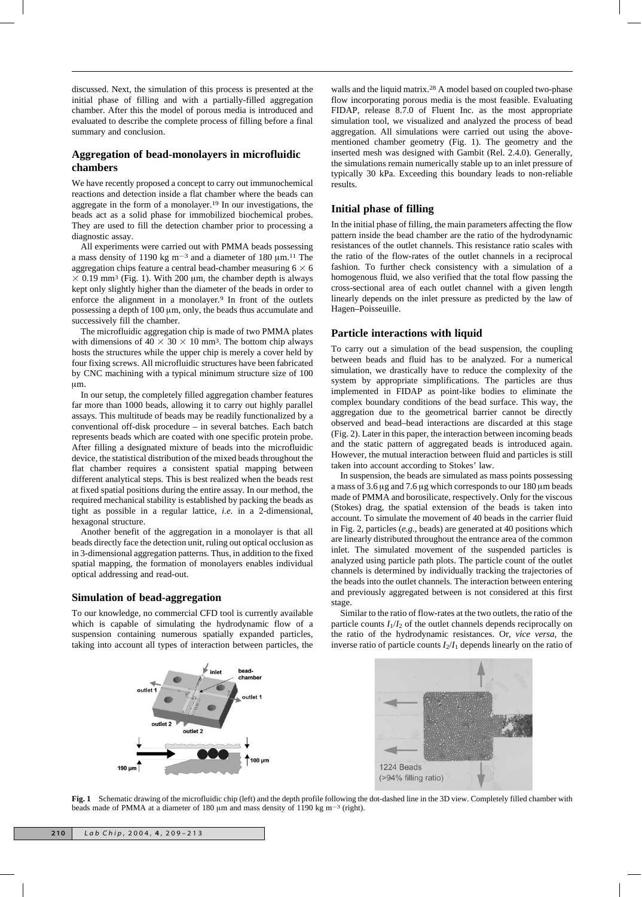discussed. Next, the simulation of this process is presented at the initial phase of filling and with a partially-filled aggregation chamber. After this the model of porous media is introduced and evaluated to describe the complete process of filling before a final summary and conclusion.

# **Aggregation of bead-monolayers in microfluidic chambers**

We have recently proposed a concept to carry out immunochemical reactions and detection inside a flat chamber where the beads can aggregate in the form of a monolayer.19 In our investigations, the beads act as a solid phase for immobilized biochemical probes. They are used to fill the detection chamber prior to processing a diagnostic assay.

All experiments were carried out with PMMA beads possessing a mass density of 1190 kg  $m^{-3}$  and a diameter of 180  $\mu$ m.<sup>11</sup> The aggregation chips feature a central bead-chamber measuring 6  $\times$  6  $\times$  0.19 mm<sup>3</sup> (Fig. 1). With 200 µm, the chamber depth is always kept only slightly higher than the diameter of the beads in order to enforce the alignment in a monolayer.<sup>9</sup> In front of the outlets possessing a depth of  $100 \mu m$ , only, the beads thus accumulate and successively fill the chamber.

The microfluidic aggregation chip is made of two PMMA plates with dimensions of  $40 \times 30 \times 10$  mm<sup>3</sup>. The bottom chip always hosts the structures while the upper chip is merely a cover held by four fixing screws. All microfluidic structures have been fabricated by CNC machining with a typical minimum structure size of 100  $\mu$ m.

In our setup, the completely filled aggregation chamber features far more than 1000 beads, allowing it to carry out highly parallel assays. This multitude of beads may be readily functionalized by a conventional off-disk procedure – in several batches. Each batch represents beads which are coated with one specific protein probe. After filling a designated mixture of beads into the microfluidic device, the statistical distribution of the mixed beads throughout the flat chamber requires a consistent spatial mapping between different analytical steps. This is best realized when the beads rest at fixed spatial positions during the entire assay. In our method, the required mechanical stability is established by packing the beads as tight as possible in a regular lattice, *i.e.* in a 2-dimensional, hexagonal structure.

Another benefit of the aggregation in a monolayer is that all beads directly face the detection unit, ruling out optical occlusion as in 3-dimensional aggregation patterns. Thus, in addition to the fixed spatial mapping, the formation of monolayers enables individual optical addressing and read-out.

## **Simulation of bead-aggregation**

To our knowledge, no commercial CFD tool is currently available which is capable of simulating the hydrodynamic flow of a suspension containing numerous spatially expanded particles, taking into account all types of interaction between particles, the

walls and the liquid matrix.<sup>28</sup> A model based on coupled two-phase flow incorporating porous media is the most feasible. Evaluating FIDAP, release 8.7.0 of Fluent Inc. as the most appropriate simulation tool, we visualized and analyzed the process of bead aggregation. All simulations were carried out using the abovementioned chamber geometry (Fig. 1). The geometry and the inserted mesh was designed with Gambit (Rel. 2.4.0). Generally, the simulations remain numerically stable up to an inlet pressure of typically 30 kPa. Exceeding this boundary leads to non-reliable results.

# **Initial phase of filling**

In the initial phase of filling, the main parameters affecting the flow pattern inside the bead chamber are the ratio of the hydrodynamic resistances of the outlet channels. This resistance ratio scales with the ratio of the flow-rates of the outlet channels in a reciprocal fashion. To further check consistency with a simulation of a homogenous fluid, we also verified that the total flow passing the cross-sectional area of each outlet channel with a given length linearly depends on the inlet pressure as predicted by the law of Hagen–Poisseuille.

## **Particle interactions with liquid**

To carry out a simulation of the bead suspension, the coupling between beads and fluid has to be analyzed. For a numerical simulation, we drastically have to reduce the complexity of the system by appropriate simplifications. The particles are thus implemented in FIDAP as point-like bodies to eliminate the complex boundary conditions of the bead surface. This way, the aggregation due to the geometrical barrier cannot be directly observed and bead–bead interactions are discarded at this stage (Fig. 2). Later in this paper, the interaction between incoming beads and the static pattern of aggregated beads is introduced again. However, the mutual interaction between fluid and particles is still taken into account according to Stokes' law.

In suspension, the beads are simulated as mass points possessing a mass of 3.6  $\mu$ g and 7.6  $\mu$ g which corresponds to our 180  $\mu$ m beads made of PMMA and borosilicate, respectively. Only for the viscous (Stokes) drag, the spatial extension of the beads is taken into account. To simulate the movement of 40 beads in the carrier fluid in Fig. 2, particles (*e.g.*, beads) are generated at 40 positions which are linearly distributed throughout the entrance area of the common inlet. The simulated movement of the suspended particles is analyzed using particle path plots. The particle count of the outlet channels is determined by individually tracking the trajectories of the beads into the outlet channels. The interaction between entering and previously aggregated between is not considered at this first stage.

Similar to the ratio of flow-rates at the two outlets, the ratio of the particle counts  $I_1/I_2$  of the outlet channels depends reciprocally on the ratio of the hydrodynamic resistances. Or, *vice versa*, the inverse ratio of particle counts  $I_2/I_1$  depends linearly on the ratio of



**Fig. 1** Schematic drawing of the microfluidic chip (left) and the depth profile following the dot-dashed line in the 3D view. Completely filled chamber with beads made of PMMA at a diameter of 180  $\mu$ m and mass density of 1190 kg m<sup>-3</sup> (right).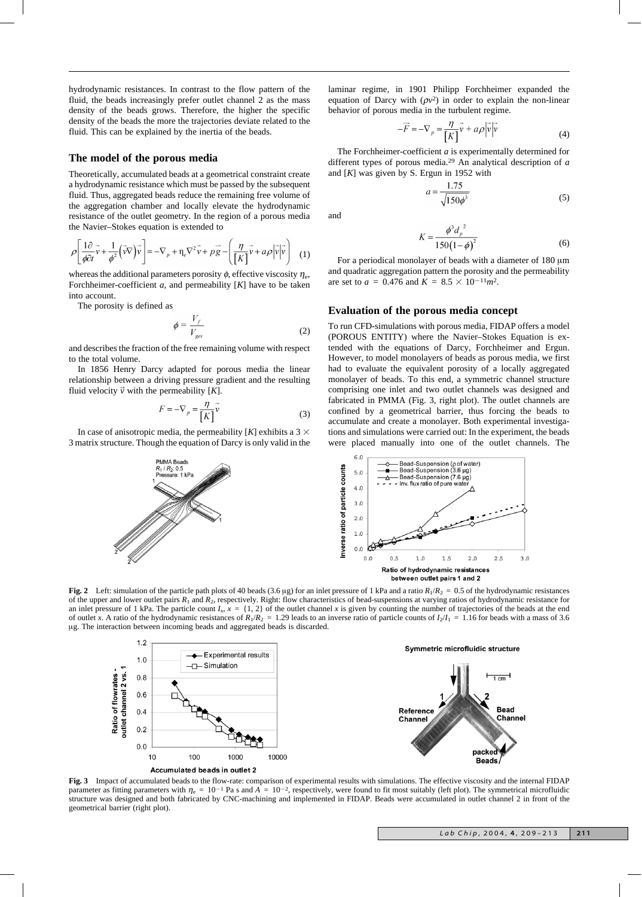hydrodynamic resistances. In contrast to the flow pattern of the fluid, the beads increasingly prefer outlet channel 2 as the mass density of the beads grows. Therefore, the higher the specific density of the beads the more the trajectories deviate related to the fluid. This can be explained by the inertia of the beads.

#### **The model of the porous media**

Theoretically, accumulated beads at a geometrical constraint create a hydrodynamic resistance which must be passed by the subsequent fluid. Thus, aggregated beads reduce the remaining free volume of the aggregation chamber and locally elevate the hydrodynamic resistance of the outlet geometry. In the region of a porous media the Navier–Stokes equation is extended to

$$
\rho \left[ \frac{1 \partial}{\phi \partial t} \vec{v} + \frac{1}{\phi^2} (\vec{v} \nabla) \vec{v} \right] = -\nabla_p + \eta_e \nabla^2 \vec{v} + p \vec{g} - \left( \frac{\eta}{\left[K\right]} \vec{v} + a \rho \left| \vec{v} \right| \vec{v} \right) \tag{1}
$$

whereas the additional parameters porosity  $\phi$ , effective viscosity  $\eta_e$ , Forchheimer-coefficient *a*, and permeability [*K*] have to be taken into account.

The porosity is defined as

$$
\phi = \frac{V_f}{V_{ges}}\tag{2}
$$

and describes the fraction of the free remaining volume with respect to the total volume.

In 1856 Henry Darcy adapted for porous media the linear relationship between a driving pressure gradient and the resulting fluid velocity  $\vec{v}$  with the permeability [K].

$$
F = -\nabla_p = \frac{\eta}{[K]} \vec{v}
$$
 (3)

In case of anisotropic media, the permeability  $[K]$  exhibits a 3  $\times$ 3 matrix structure. Though the equation of Darcy is only valid in the

**PMMA Reads** 

Pressure: 1 kP

 $R_1/R_2$ : 0.

laminar regime, in 1901 Philipp Forchheimer expanded the equation of Darcy with  $(\rho v^2)$  in order to explain the non-linear behavior of porous media in the turbulent regime.

$$
-\vec{F} = -\nabla_p = \frac{\eta}{[K]} \vec{v} + a\rho |\vec{v}| \vec{v}
$$
 (4)

The Forchheimer-coefficient *a* is experimentally determined for different types of porous media.29 An analytical description of *a* and [*K*] was given by S. Ergun in 1952 with

$$
a = \frac{1.75}{\sqrt{150\phi^3}}\tag{5}
$$

and

$$
\zeta = \frac{\phi^3 d_p^2}{150(1-\phi)^2}
$$
 (6)

For a periodical monolayer of beads with a diameter of  $180 \mu m$ and quadratic aggregation pattern the porosity and the permeability are set to  $a = 0.476$  and  $K = 8.5 \times 10^{-11} m^2$ .

### **Evaluation of the porous media concept**

 $\overline{b}$ 

To run CFD-simulations with porous media, FIDAP offers a model (POROUS ENTITY) where the Navier–Stokes Equation is extended with the equations of Darcy, Forchheimer and Ergun. However, to model monolayers of beads as porous media, we first had to evaluate the equivalent porosity of a locally aggregated monolayer of beads. To this end, a symmetric channel structure comprising one inlet and two outlet channels was designed and fabricated in PMMA (Fig. 3, right plot). The outlet channels are confined by a geometrical barrier, thus forcing the beads to accumulate and create a monolayer. Both experimental investigations and simulations were carried out: In the experiment, the beads were placed manually into one of the outlet channels. The



**Fig. 2** Left: simulation of the particle path plots of 40 beads (3.6 µg) for an inlet pressure of 1 kPa and a ratio  $R_1/R_2 = 0.5$  of the hydrodynamic resistances of the upper and lower outlet pairs  $R_1$  and  $R_2$ , respectively. Right: flow characteristics of bead-suspensions at varying ratios of hydrodynamic resistance for an inlet pressure of 1 kPa. The particle count  $I_x$ ,  $x = \{1, 2\}$  of the outlet channel *x* is given by counting the number of trajectories of the beads at the end of outlet *x*. A ratio of the hydrodynamic resistances of  $R_1/R_2 = 1.29$  leads to an inverse ratio of particle counts of  $I_2/I_1 = 1.16$  for beads with a mass of 3.6 mg. The interaction between incoming beads and aggregated beads is discarded.



**Fig. 3** Impact of accumulated beads to the flow-rate: comparison of experimental results with simulations. The effective viscosity and the internal FIDAP parameter as fitting parameters with  $\eta_e = 10^{-1}$  Pa s and  $\overline{A} = 10^{-2}$ , respectively, were found to fit most suitably (left plot). The symmetrical microfluidic structure was designed and both fabricated by CNC-machining and implemented in FIDAP. Beads were accumulated in outlet channel 2 in front of the geometrical barrier (right plot).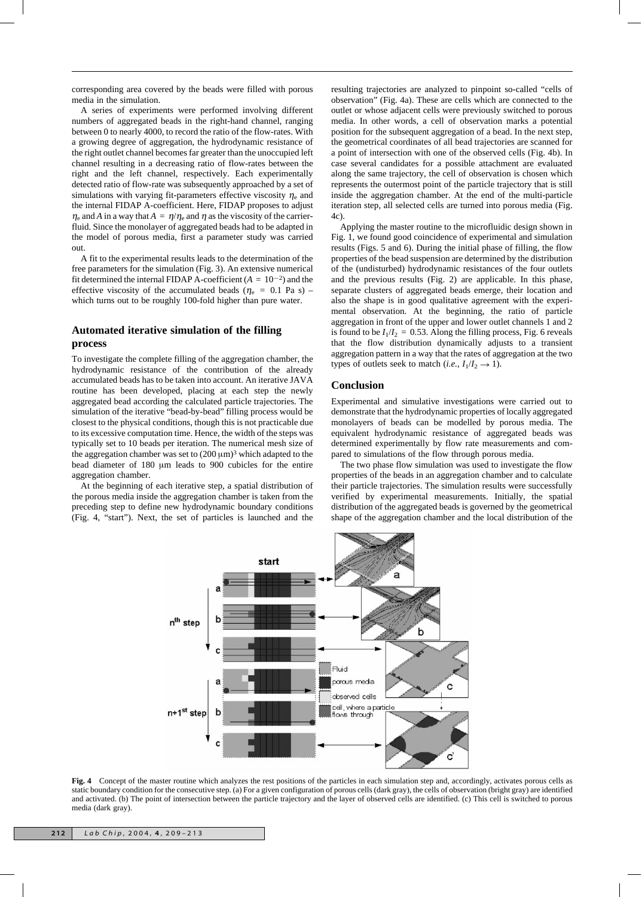corresponding area covered by the beads were filled with porous media in the simulation.

A series of experiments were performed involving different numbers of aggregated beads in the right-hand channel, ranging between 0 to nearly 4000, to record the ratio of the flow-rates. With a growing degree of aggregation, the hydrodynamic resistance of the right outlet channel becomes far greater than the unoccupied left channel resulting in a decreasing ratio of flow-rates between the right and the left channel, respectively. Each experimentally detected ratio of flow-rate was subsequently approached by a set of simulations with varying fit-parameters effective viscosity  $\eta_e$  and the internal FIDAP A-coefficient. Here, FIDAP proposes to adjust  $n_e$  and *A* in a way that  $A = n/n_e$  and *n* as the viscosity of the carrierfluid. Since the monolayer of aggregated beads had to be adapted in the model of porous media, first a parameter study was carried out.

A fit to the experimental results leads to the determination of the free parameters for the simulation (Fig. 3). An extensive numerical fit determined the internal FIDAP A-coefficient  $(A = 10^{-2})$  and the effective viscosity of the accumulated beads ( $\eta_e$  = 0.1 Pa s) – which turns out to be roughly 100-fold higher than pure water.

# **Automated iterative simulation of the filling process**

To investigate the complete filling of the aggregation chamber, the hydrodynamic resistance of the contribution of the already accumulated beads has to be taken into account. An iterative JAVA routine has been developed, placing at each step the newly aggregated bead according the calculated particle trajectories. The simulation of the iterative "bead-by-bead" filling process would be closest to the physical conditions, though this is not practicable due to its excessive computation time. Hence, the width of the steps was typically set to 10 beads per iteration. The numerical mesh size of the aggregation chamber was set to  $(200 \,\mu\text{m})^3$  which adapted to the bead diameter of 180 µm leads to 900 cubicles for the entire aggregation chamber.

At the beginning of each iterative step, a spatial distribution of the porous media inside the aggregation chamber is taken from the preceding step to define new hydrodynamic boundary conditions (Fig. 4, "start"). Next, the set of particles is launched and the

resulting trajectories are analyzed to pinpoint so-called "cells of observation" (Fig. 4a). These are cells which are connected to the outlet or whose adjacent cells were previously switched to porous media. In other words, a cell of observation marks a potential position for the subsequent aggregation of a bead. In the next step, the geometrical coordinates of all bead trajectories are scanned for a point of intersection with one of the observed cells (Fig. 4b). In case several candidates for a possible attachment are evaluated along the same trajectory, the cell of observation is chosen which represents the outermost point of the particle trajectory that is still inside the aggregation chamber. At the end of the multi-particle iteration step, all selected cells are turned into porous media (Fig.  $4c$ ).

Applying the master routine to the microfluidic design shown in Fig. 1, we found good coincidence of experimental and simulation results (Figs. 5 and 6). During the initial phase of filling, the flow properties of the bead suspension are determined by the distribution of the (undisturbed) hydrodynamic resistances of the four outlets and the previous results (Fig. 2) are applicable. In this phase, separate clusters of aggregated beads emerge, their location and also the shape is in good qualitative agreement with the experimental observation. At the beginning, the ratio of particle aggregation in front of the upper and lower outlet channels 1 and 2 is found to be  $I_1/I_2 = 0.53$ . Along the filling process, Fig. 6 reveals that the flow distribution dynamically adjusts to a transient aggregation pattern in a way that the rates of aggregation at the two types of outlets seek to match (*i.e.*,  $I_1/I_2 \rightarrow 1$ ).

## **Conclusion**

Experimental and simulative investigations were carried out to demonstrate that the hydrodynamic properties of locally aggregated monolayers of beads can be modelled by porous media. The equivalent hydrodynamic resistance of aggregated beads was determined experimentally by flow rate measurements and compared to simulations of the flow through porous media.

The two phase flow simulation was used to investigate the flow properties of the beads in an aggregation chamber and to calculate their particle trajectories. The simulation results were successfully verified by experimental measurements. Initially, the spatial distribution of the aggregated beads is governed by the geometrical shape of the aggregation chamber and the local distribution of the



**Fig. 4** Concept of the master routine which analyzes the rest positions of the particles in each simulation step and, accordingly, activates porous cells as static boundary condition for the consecutive step. (a) For a given configuration of porous cells (dark gray), the cells of observation (bright gray) are identified and activated. (b) The point of intersection between the particle trajectory and the layer of observed cells are identified. (c) This cell is switched to porous media (dark gray).